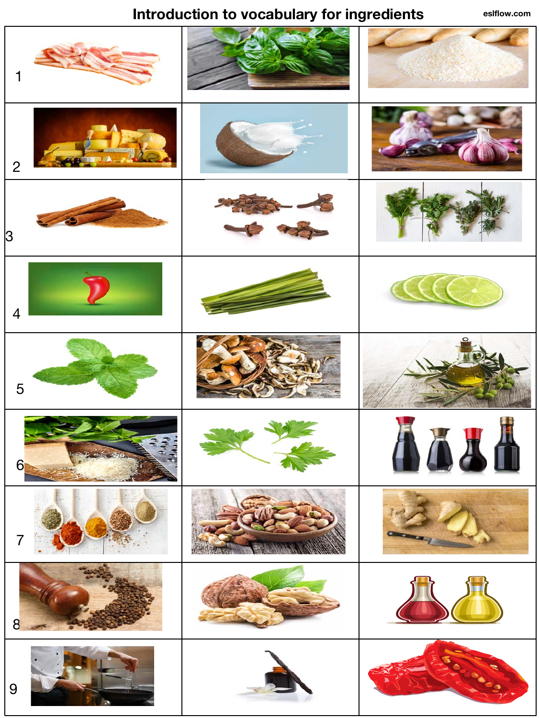## **Introduction to vocabulary for ingredients**

**eslflow.com**

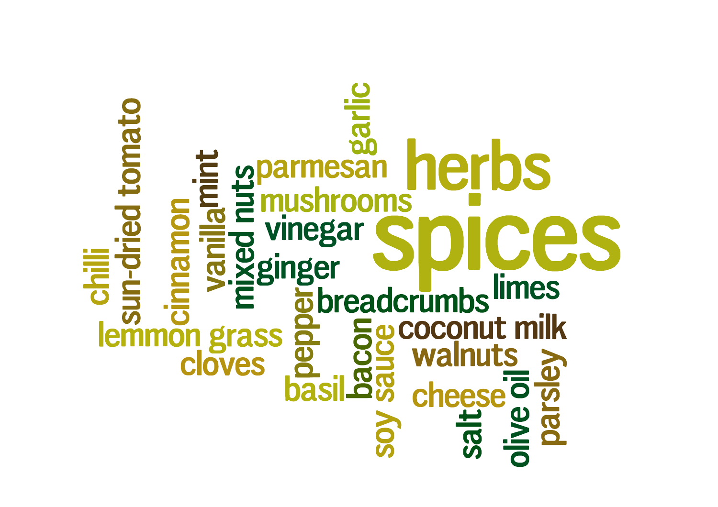chili<br> **chili**<br>
un-dried tomato nerbs **impliney** rooms vinegar  $\frac{1}{3}$  vines-<br>  $\frac{1}{3}$  exempts<br>  $\frac{1}{3}$  exempts<br>  $\frac{1}{3}$  exempts<br>  $\frac{1}{3}$  exercise  $\frac{1}{3}$  exercise  $\frac{1}{3}$ <br>  $\frac{1}{3}$  cheese  $\frac{1}{3}$ <br>  $\frac{1}{3}$  exercise  $\frac{1}{3}$ le **velsied<br>Marsionio**  $\frac{m}{\pi}$ SOV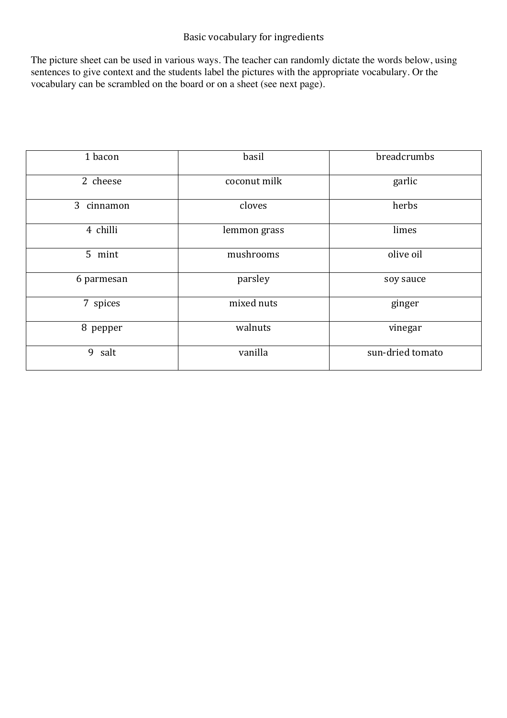## Basic vocabulary for ingredients

The picture sheet can be used in various ways. The teacher can randomly dictate the words below, using sentences to give context and the students label the pictures with the appropriate vocabulary. Or the vocabulary can be scrambled on the board or on a sheet (see next page).

| 1 bacon    | basil        | breadcrumbs      |
|------------|--------------|------------------|
| 2 cheese   | coconut milk | garlic           |
| 3 cinnamon | cloves       | herbs            |
| 4 chilli   | lemmon grass | limes            |
| 5 mint     | mushrooms    | olive oil        |
| 6 parmesan | parsley      | soy sauce        |
| 7 spices   | mixed nuts   | ginger           |
| 8 pepper   | walnuts      | vinegar          |
| 9 salt     | vanilla      | sun-dried tomato |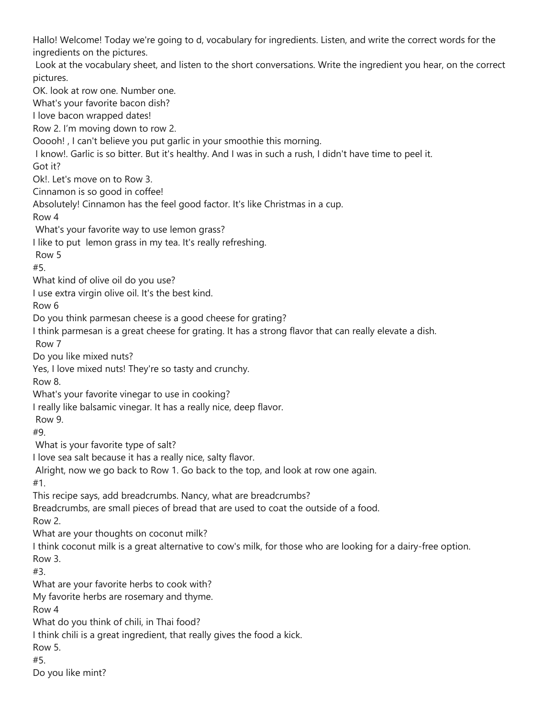Hallo! Welcome! Today we're going to d, vocabulary for ingredients. Listen, and write the correct words for the ingredients on the pictures. Look at the vocabulary sheet, and listen to the short conversations. Write the ingredient you hear, on the correct pictures. OK. look at row one. Number one. What's your favorite bacon dish? I love bacon wrapped dates! Row 2. I'm moving down to row 2. Ooooh! , I can't believe you put garlic in your smoothie this morning. I know!. Garlic is so bitter. But it's healthy. And I was in such a rush, I didn't have time to peel it. Got it? Ok!. Let's move on to Row 3. Cinnamon is so good in coffee! Absolutely! Cinnamon has the feel good factor. It's like Christmas in a cup. Row 4 What's your favorite way to use lemon grass? I like to put lemon grass in my tea. It's really refreshing. Row 5 #5. What kind of olive oil do you use? I use extra virgin olive oil. It's the best kind. Row 6 Do you think parmesan cheese is a good cheese for grating? I think parmesan is a great cheese for grating. It has a strong flavor that can really elevate a dish. Row 7 Do you like mixed nuts? Yes, I love mixed nuts! They're so tasty and crunchy. Row 8. What's your favorite vinegar to use in cooking? I really like balsamic vinegar. It has a really nice, deep flavor. Row 9. #9. What is your favorite type of salt? I love sea salt because it has a really nice, salty flavor. Alright, now we go back to Row 1. Go back to the top, and look at row one again. #1. This recipe says, add breadcrumbs. Nancy, what are breadcrumbs? Breadcrumbs, are small pieces of bread that are used to coat the outside of a food. Row 2. What are your thoughts on coconut milk? I think coconut milk is a great alternative to cow's milk, for those who are looking for a dairy-free option. Row 3. #3. What are your favorite herbs to cook with? My favorite herbs are rosemary and thyme. Row 4 What do you think of chili, in Thai food? I think chili is a great ingredient, that really gives the food a kick. Row 5. #5. Do you like mint?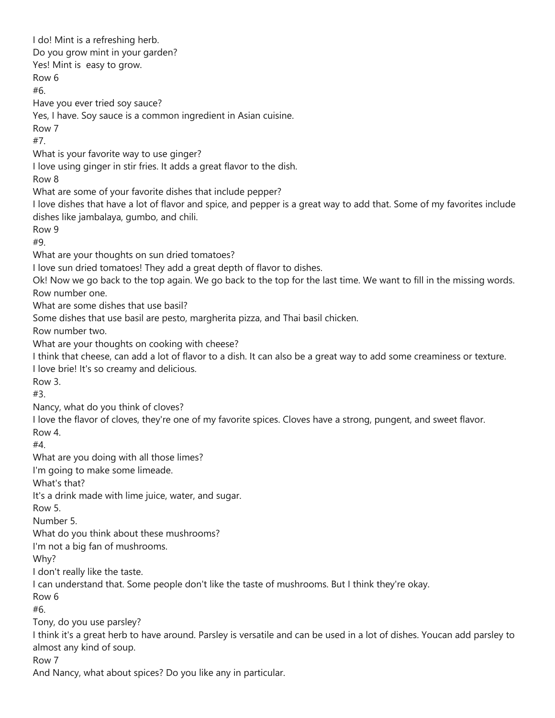I do! Mint is a refreshing herb. Do you grow mint in your garden? Yes! Mint is easy to grow. Row 6 #6. Have you ever tried soy sauce? Yes, I have. Soy sauce is a common ingredient in Asian cuisine. Row 7 #7. What is your favorite way to use ginger? I love using ginger in stir fries. It adds a great flavor to the dish. Row 8 What are some of your favorite dishes that include pepper? I love dishes that have a lot of flavor and spice, and pepper is a great way to add that. Some of my favorites include dishes like jambalaya, gumbo, and chili. Row 9 #9. What are your thoughts on sun dried tomatoes? I love sun dried tomatoes! They add a great depth of flavor to dishes. Ok! Now we go back to the top again. We go back to the top for the last time. We want to fill in the missing words. Row number one. What are some dishes that use basil? Some dishes that use basil are pesto, margherita pizza, and Thai basil chicken. Row number two. What are your thoughts on cooking with cheese? I think that cheese, can add a lot of flavor to a dish. It can also be a great way to add some creaminess or texture. I love brie! It's so creamy and delicious. Row 3. #3. Nancy, what do you think of cloves? I love the flavor of cloves, they're one of my favorite spices. Cloves have a strong, pungent, and sweet flavor. Row 4. #4. What are you doing with all those limes? I'm going to make some limeade. What's that? It's a drink made with lime juice, water, and sugar. Row 5. Number 5. What do you think about these mushrooms? I'm not a big fan of mushrooms. Why? I don't really like the taste. I can understand that. Some people don't like the taste of mushrooms. But I think they're okay. Row 6 #6. Tony, do you use parsley? I think it's a great herb to have around. Parsley is versatile and can be used in a lot of dishes. Youcan add parsley to almost any kind of soup. Row 7 And Nancy, what about spices? Do you like any in particular.